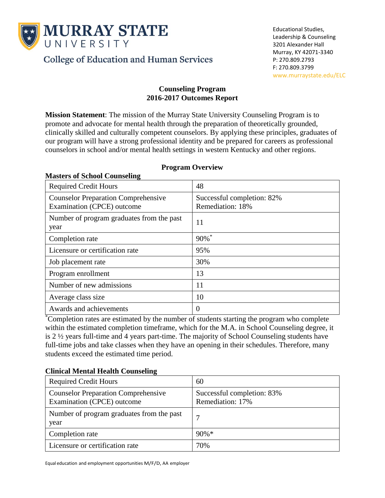

**Masters of School Counseling**

**College of Education and Human Services** 

#### **Counseling Program 2016-2017 Outcomes Report**

**Mission Statement**: The mission of the Murray State University Counseling Program is to promote and advocate for mental health through the preparation of theoretically grounded, clinically skilled and culturally competent counselors. By applying these principles, graduates of our program will have a strong professional identity and be prepared for careers as professional counselors in school and/or mental health settings in western Kentucky and other regions.

| <b>Required Credit Hours</b>                                             | 48                                             |
|--------------------------------------------------------------------------|------------------------------------------------|
| <b>Counselor Preparation Comprehensive</b><br>Examination (CPCE) outcome | Successful completion: 82%<br>Remediation: 18% |
| Number of program graduates from the past<br>year                        | 11                                             |
| Completion rate                                                          | $90\%$ <sup>*</sup>                            |
| Licensure or certification rate                                          | 95%                                            |
| Job placement rate                                                       | 30%                                            |
| Program enrollment                                                       | 13                                             |
| Number of new admissions                                                 | 11                                             |
| Average class size                                                       | 10                                             |
| Awards and achievements                                                  | $\Omega$                                       |

## **Program Overview**

\*Completion rates are estimated by the number of students starting the program who complete within the estimated completion timeframe, which for the M.A. in School Counseling degree, it is 2 ½ years full-time and 4 years part-time. The majority of School Counseling students have full-time jobs and take classes when they have an opening in their schedules. Therefore, many students exceed the estimated time period.

# **Clinical Mental Health Counseling**

| <b>Required Credit Hours</b>                                             | 60                                             |
|--------------------------------------------------------------------------|------------------------------------------------|
| <b>Counselor Preparation Comprehensive</b><br>Examination (CPCE) outcome | Successful completion: 83%<br>Remediation: 17% |
| Number of program graduates from the past<br>year                        |                                                |
| Completion rate                                                          | $90\% *$                                       |
| Licensure or certification rate                                          | 70%                                            |

Equal education and employment opportunities M/F/D, AA employer